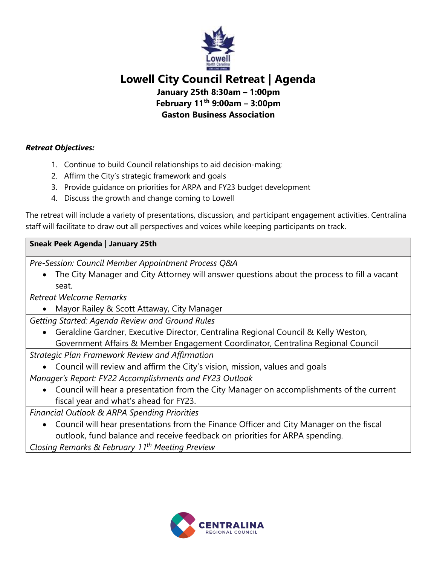

## **Lowell City Council Retreat | Agenda**

**January 25th 8:30am – 1:00pm February 11th 9:00am – 3:00pm**

**Gaston Business Association**

*Retreat Objectives:* 

- 1. Continue to build Council relationships to aid decision-making;
- 2. Affirm the City's strategic framework and goals
- 3. Provide guidance on priorities for ARPA and FY23 budget development
- 4. Discuss the growth and change coming to Lowell

The retreat will include a variety of presentations, discussion, and participant engagement activities. Centralina staff will facilitate to draw out all perspectives and voices while keeping participants on track.

## **Sneak Peek Agenda | January 25th**

*Pre-Session: Council Member Appointment Process Q&A*

• The City Manager and City Attorney will answer questions about the process to fill a vacant seat.

*Retreat Welcome Remarks*

• Mayor Railey & Scott Attaway, City Manager

*Getting Started: Agenda Review and Ground Rules* 

• Geraldine Gardner, Executive Director, Centralina Regional Council & Kelly Weston, Government Affairs & Member Engagement Coordinator, Centralina Regional Council

*Strategic Plan Framework Review and Affirmation*

• Council will review and affirm the City's vision, mission, values and goals

*Manager's Report: FY22 Accomplishments and FY23 Outlook* 

• Council will hear a presentation from the City Manager on accomplishments of the current fiscal year and what's ahead for FY23.

*Financial Outlook & ARPA Spending Priorities*

• Council will hear presentations from the Finance Officer and City Manager on the fiscal outlook, fund balance and receive feedback on priorities for ARPA spending.

*Closing Remarks & February 11th Meeting Preview*